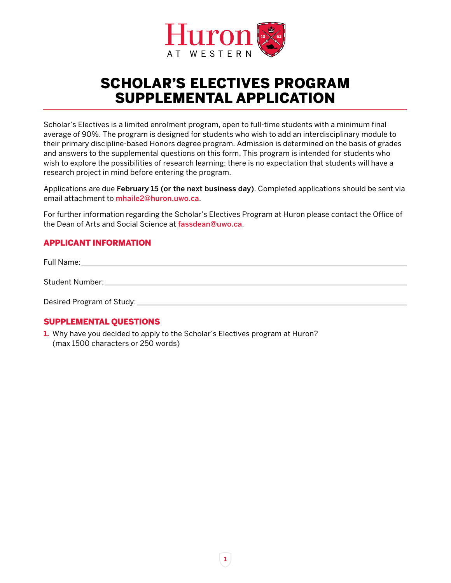

## SCHOLAR'S ELECTIVES PROGRAM SUPPLEMENTAL APPLICATION

Scholar's Electives is a limited enrolment program, open to full-time students with a minimum final average of 90%. The program is designed for students who wish to add an interdisciplinary module to their primary discipline-based Honors degree program. Admission is determined on the basis of grades and answers to the supplemental questions on this form. This program is intended for students who wish to explore the possibilities of research learning; there is no expectation that students will have a research project in mind before entering the program.

Applications are due February 15 (or the next business day). Completed applications should be sent via email attachment to **[mhaile2@huron.uwo.ca](mailto:mhaile2%40huron.uwo.ca?subject=)**.

For further information regarding the Scholar's Electives Program at Huron please contact the Office of the Dean of Arts and Social Science at **[fassdean@uwo.ca](mailto:fassdean%40uwo.ca?subject=)**.

## APPLICANT INFORMATION

| Full Name:                |  |
|---------------------------|--|
| Student Number:           |  |
| Desired Program of Study: |  |

## SUPPLEMENTAL QUESTIONS

**1.** Why have you decided to apply to the Scholar's Electives program at Huron? (max 1500 characters or 250 words)